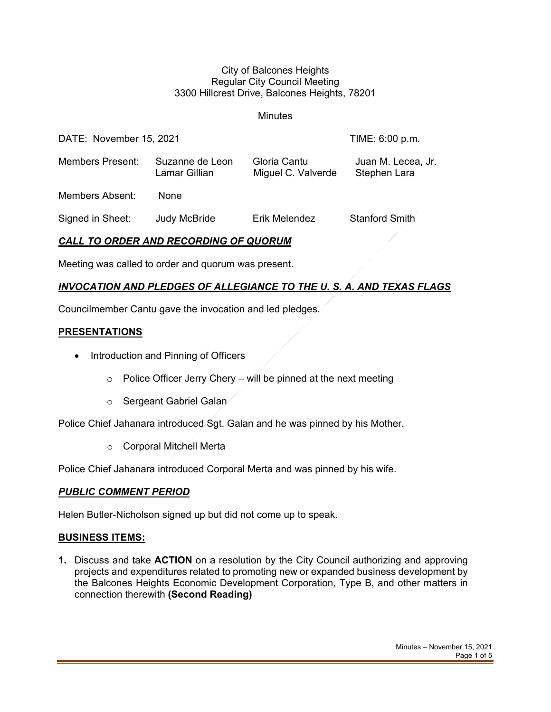#### City of Balcones Heights Regular City Council Meeting 3300 Hillcrest Drive, Balcones Heights, 78201

**Minutes** 

| DATE: November 15, 2021 |                                  |                                    | TIME: 6:00 p.m.                    |
|-------------------------|----------------------------------|------------------------------------|------------------------------------|
| <b>Members Present:</b> | Suzanne de Leon<br>Lamar Gillian | Gloria Cantu<br>Miguel C. Valverde | Juan M. Lecea, Jr.<br>Stephen Lara |
| <b>Members Absent:</b>  | <b>None</b>                      |                                    |                                    |
| Signed in Sheet:        | <b>Judy McBride</b>              | Erik Melendez                      | <b>Stanford Smith</b>              |

# *CALL TO ORDER AND RECORDING OF QUORUM*

Meeting was called to order and quorum was present.

## *INVOCATION AND PLEDGES OF ALLEGIANCE TO THE U. S. A. AND TEXAS FLAGS*

Councilmember Cantu gave the invocation and led pledges.

## **PRESENTATIONS**

- Introduction and Pinning of Officers
	- $\circ$  Police Officer Jerry Chery will be pinned at the next meeting
	- o Sergeant Gabriel Galan

Police Chief Jahanara introduced Sgt. Galan and he was pinned by his Mother.

o Corporal Mitchell Merta

Police Chief Jahanara introduced Corporal Merta and was pinned by his wife.

## *PUBLIC COMMENT PERIOD*

Helen Butler-Nicholson signed up but did not come up to speak.

## **BUSINESS ITEMS:**

**1.** Discuss and take **ACTION** on a resolution by the City Council authorizing and approving projects and expenditures related to promoting new or expanded business development by the Balcones Heights Economic Development Corporation, Type B, and other matters in connection therewith **(Second Reading)**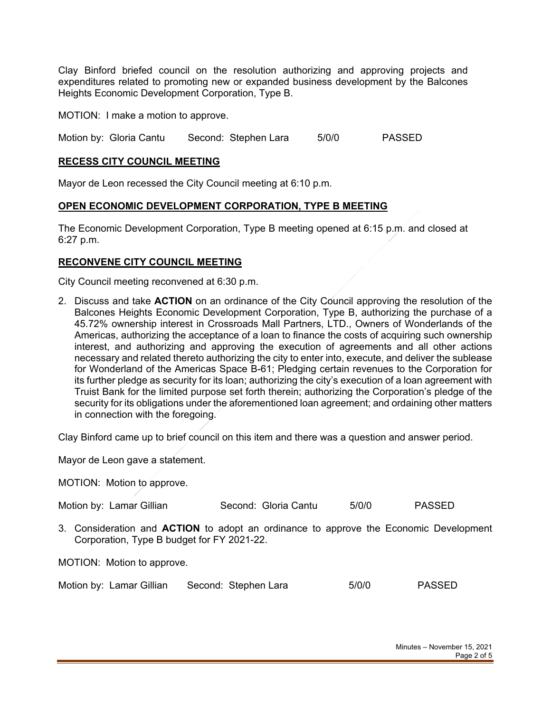Clay Binford briefed council on the resolution authorizing and approving projects and expenditures related to promoting new or expanded business development by the Balcones Heights Economic Development Corporation, Type B.

MOTION: I make a motion to approve.

Motion by: Gloria Cantu Second: Stephen Lara 5/0/0 PASSED

#### **RECESS CITY COUNCIL MEETING**

Mayor de Leon recessed the City Council meeting at 6:10 p.m.

#### **OPEN ECONOMIC DEVELOPMENT CORPORATION, TYPE B MEETING**

The Economic Development Corporation, Type B meeting opened at 6:15 p.m. and closed at 6:27 p.m.

### **RECONVENE CITY COUNCIL MEETING**

City Council meeting reconvened at 6:30 p.m.

2. Discuss and take **ACTION** on an ordinance of the City Council approving the resolution of the Balcones Heights Economic Development Corporation, Type B, authorizing the purchase of a 45.72% ownership interest in Crossroads Mall Partners, LTD., Owners of Wonderlands of the Americas, authorizing the acceptance of a loan to finance the costs of acquiring such ownership interest, and authorizing and approving the execution of agreements and all other actions necessary and related thereto authorizing the city to enter into, execute, and deliver the sublease for Wonderland of the Americas Space B-61; Pledging certain revenues to the Corporation for its further pledge as security for its loan; authorizing the city's execution of a loan agreement with Truist Bank for the limited purpose set forth therein; authorizing the Corporation's pledge of the security for its obligations under the aforementioned loan agreement; and ordaining other matters in connection with the foregoing.

Clay Binford came up to brief council on this item and there was a question and answer period.

Mayor de Leon gave a statement.

MOTION: Motion to approve.

Motion by: Lamar Gillian Second: Gloria Cantu 5/0/0 PASSED

3. Consideration and **ACTION** to adopt an ordinance to approve the Economic Development Corporation, Type B budget for FY 2021-22.

MOTION: Motion to approve.

| Motion by: Lamar Gillian |  | Second: Stephen Lara | 5/0/0 | <b>PASSED</b> |
|--------------------------|--|----------------------|-------|---------------|
|--------------------------|--|----------------------|-------|---------------|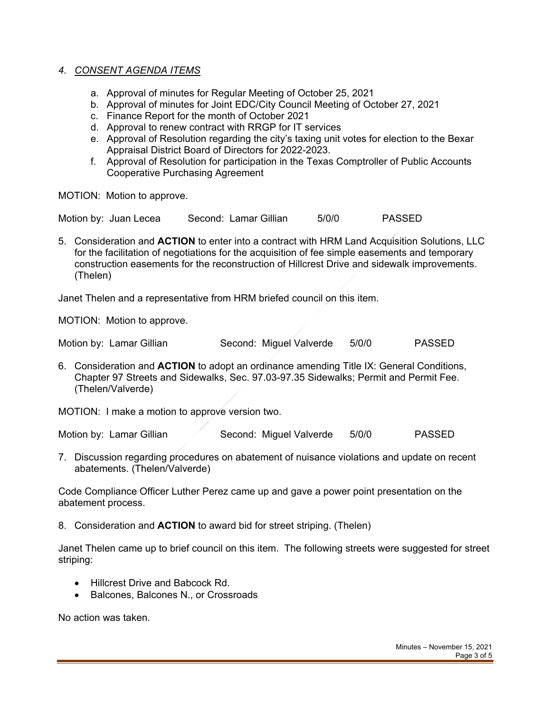### *4. CONSENT AGENDA ITEMS*

- a. Approval of minutes for Regular Meeting of October 25, 2021
- b. Approval of minutes for Joint EDC/City Council Meeting of October 27, 2021
- c. Finance Report for the month of October 2021
- d. Approval to renew contract with RRGP for IT services
- e. Approval of Resolution regarding the city's taxing unit votes for election to the Bexar Appraisal District Board of Directors for 2022-2023.
- f. Approval of Resolution for participation in the Texas Comptroller of Public Accounts Cooperative Purchasing Agreement

MOTION: Motion to approve.

Motion by: Juan Lecea Second: Lamar Gillian 5/0/0 PASSED

5. Consideration and **ACTION** to enter into a contract with HRM Land Acquisition Solutions, LLC for the facilitation of negotiations for the acquisition of fee simple easements and temporary construction easements for the reconstruction of Hillcrest Drive and sidewalk improvements. (Thelen)

Janet Thelen and a representative from HRM briefed council on this item.

MOTION: Motion to approve.

Motion by: Lamar Gillian Second: Miguel Valverde 5/0/0 PASSED

6. Consideration and **ACTION** to adopt an ordinance amending Title IX: General Conditions, Chapter 97 Streets and Sidewalks, Sec. 97.03-97.35 Sidewalks; Permit and Permit Fee. (Thelen/Valverde)

MOTION: I make a motion to approve version two.

Motion by: Lamar Gillian  $\sim$  Second: Miquel Valverde 5/0/0 PASSED

7. Discussion regarding procedures on abatement of nuisance violations and update on recent abatements. (Thelen/Valverde)

Code Compliance Officer Luther Perez came up and gave a power point presentation on the abatement process.

8. Consideration and **ACTION** to award bid for street striping. (Thelen)

Janet Thelen came up to brief council on this item. The following streets were suggested for street striping:

- Hillcrest Drive and Babcock Rd.
- Balcones, Balcones N., or Crossroads

No action was taken.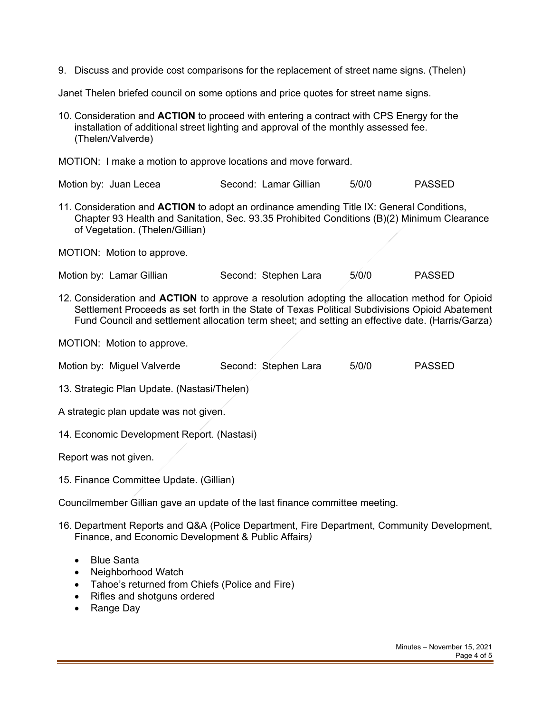9. Discuss and provide cost comparisons for the replacement of street name signs. (Thelen)

Janet Thelen briefed council on some options and price quotes for street name signs.

10. Consideration and **ACTION** to proceed with entering a contract with CPS Energy for the installation of additional street lighting and approval of the monthly assessed fee. (Thelen/Valverde)

MOTION: I make a motion to approve locations and move forward.

| Motion by: Juan Lecea | Second: Lamar Gillian | 5/0/0 | <b>PASSED</b> |
|-----------------------|-----------------------|-------|---------------|
|-----------------------|-----------------------|-------|---------------|

11. Consideration and **ACTION** to adopt an ordinance amending Title IX: General Conditions, Chapter 93 Health and Sanitation, Sec. 93.35 Prohibited Conditions (B)(2) Minimum Clearance of Vegetation. (Thelen/Gillian)

MOTION: Motion to approve.

Motion by: Lamar Gillian Second: Stephen Lara 5/0/0 PASSED

12. Consideration and **ACTION** to approve a resolution adopting the allocation method for Opioid Settlement Proceeds as set forth in the State of Texas Political Subdivisions Opioid Abatement Fund Council and settlement allocation term sheet; and setting an effective date. (Harris/Garza)

MOTION: Motion to approve.

|  | Motion by: Miguel Valverde | Second: Stephen Lara | 5/0/0 | <b>PASSED</b> |
|--|----------------------------|----------------------|-------|---------------|
|--|----------------------------|----------------------|-------|---------------|

13. Strategic Plan Update. (Nastasi/Thelen)

A strategic plan update was not given.

14. Economic Development Report. (Nastasi)

Report was not given.

15. Finance Committee Update. (Gillian)

Councilmember Gillian gave an update of the last finance committee meeting.

- 16. Department Reports and Q&A (Police Department, Fire Department, Community Development, Finance, and Economic Development & Public Affairs*)*
	- Blue Santa
	- Neighborhood Watch
	- Tahoe's returned from Chiefs (Police and Fire)
	- Rifles and shotguns ordered
	- Range Day